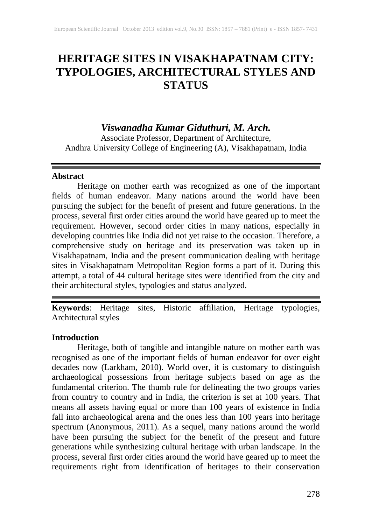## **HERITAGE SITES IN VISAKHAPATNAM CITY: TYPOLOGIES, ARCHITECTURAL STYLES AND STATUS**

## *Viswanadha Kumar Giduthuri, M. Arch.*

Associate Professor, Department of Architecture, Andhra University College of Engineering (A), Visakhapatnam, India

### **Abstract**

Heritage on mother earth was recognized as one of the important fields of human endeavor. Many nations around the world have been pursuing the subject for the benefit of present and future generations. In the process, several first order cities around the world have geared up to meet the requirement. However, second order cities in many nations, especially in developing countries like India did not yet raise to the occasion. Therefore, a comprehensive study on heritage and its preservation was taken up in Visakhapatnam, India and the present communication dealing with heritage sites in Visakhapatnam Metropolitan Region forms a part of it. During this attempt, a total of 44 cultural heritage sites were identified from the city and their architectural styles, typologies and status analyzed.

**Keywords**: Heritage sites, Historic affiliation, Heritage typologies, Architectural styles

## **Introduction**

Heritage, both of tangible and intangible nature on mother earth was recognised as one of the important fields of human endeavor for over eight decades now (Larkham, 2010). World over, it is customary to distinguish archaeological possessions from heritage subjects based on age as the fundamental criterion. The thumb rule for delineating the two groups varies from country to country and in India, the criterion is set at 100 years. That means all assets having equal or more than 100 years of existence in India fall into archaeological arena and the ones less than 100 years into heritage spectrum (Anonymous, 2011). As a sequel, many nations around the world have been pursuing the subject for the benefit of the present and future generations while synthesizing cultural heritage with urban landscape. In the process, several first order cities around the world have geared up to meet the requirements right from identification of heritages to their conservation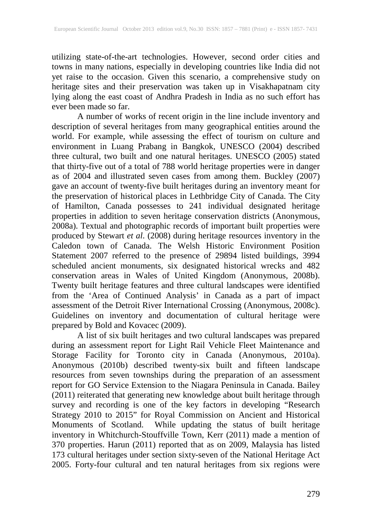utilizing state-of-the-art technologies. However, second order cities and towns in many nations, especially in developing countries like India did not yet raise to the occasion. Given this scenario, a comprehensive study on heritage sites and their preservation was taken up in Visakhapatnam city lying along the east coast of Andhra Pradesh in India as no such effort has ever been made so far.

A number of works of recent origin in the line include inventory and description of several heritages from many geographical entities around the world. For example, while assessing the effect of tourism on culture and environment in Luang Prabang in Bangkok, UNESCO (2004) described three cultural, two built and one natural heritages. UNESCO (2005) stated that thirty-five out of a total of 788 world heritage properties were in danger as of 2004 and illustrated seven cases from among them. Buckley (2007) gave an account of twenty-five built heritages during an inventory meant for the preservation of historical places in Lethbridge City of Canada. The City of Hamilton, Canada possesses to 241 individual designated heritage properties in addition to seven heritage conservation districts (Anonymous, 2008a). Textual and photographic records of important built properties were produced by Stewart *et al*. (2008) during heritage resources inventory in the Caledon town of Canada. The Welsh Historic Environment Position Statement 2007 referred to the presence of 29894 listed buildings, 3994 scheduled ancient monuments, six designated historical wrecks and 482 conservation areas in Wales of United Kingdom (Anonymous, 2008b). Twenty built heritage features and three cultural landscapes were identified from the 'Area of Continued Analysis' in Canada as a part of impact assessment of the Detroit River International Crossing (Anonymous, 2008c). Guidelines on inventory and documentation of cultural heritage were prepared by Bold and Kovacec (2009).

A list of six built heritages and two cultural landscapes was prepared during an assessment report for Light Rail Vehicle Fleet Maintenance and Storage Facility for Toronto city in Canada (Anonymous, 2010a). Anonymous (2010b) described twenty-six built and fifteen landscape resources from seven townships during the preparation of an assessment report for GO Service Extension to the Niagara Peninsula in Canada. Bailey (2011) reiterated that generating new knowledge about built heritage through survey and recording is one of the key factors in developing "Research Strategy 2010 to 2015" for Royal Commission on Ancient and Historical Monuments of Scotland. While updating the status of built heritage inventory in Whitchurch-Stouffville Town, Kerr (2011) made a mention of 370 properties. Harun (2011) reported that as on 2009, Malaysia has listed 173 cultural heritages under section sixty-seven of the National Heritage Act 2005. Forty-four cultural and ten natural heritages from six regions were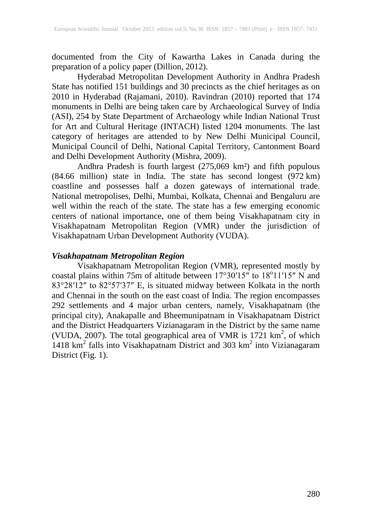documented from the City of Kawartha Lakes in Canada during the preparation of a policy paper (Dillion, 2012).

Hyderabad Metropolitan Development Authority in Andhra Pradesh State has notified 151 buildings and 30 precincts as the chief heritages as on 2010 in Hyderabad (Rajamani, 2010). Ravindran (2010) reported that 174 monuments in Delhi are being taken care by Archaeological Survey of India (ASI), 254 by State Department of Archaeology while Indian National Trust for Art and Cultural Heritage (INTACH) listed 1204 monuments. The last category of heritages are attended to by New Delhi Municipal Council, Municipal Council of Delhi, National Capital Territory, Cantonment Board and Delhi Development Authority (Mishra, 2009).

Andhra Pradesh is fourth largest (275,069 km²) and fifth populous (84.66 million) state in India. The state has second longest (972 km) coastline and possesses half a dozen gateways of international trade. National metropolises, Delhi, Mumbai, Kolkata, Chennai and Bengaluru are well within the reach of the state. The state has a few emerging economic centers of national importance, one of them being Visakhapatnam city in Visakhapatnam Metropolitan Region (VMR) under the jurisdiction of Visakhapatnam Urban Development Authority (VUDA).

#### *Visakhapatnam Metropolitan Region*

Visakhapatnam Metropolitan Region (VMR), represented mostly by coastal plains within 75m of altitude between  $17^{\circ}30'15''$  to  $18^{\circ}11'15''$  N and 83°28′12″ to 82°57′37″ E, is situated midway between Kolkata in the north and Chennai in the south on the east coast of India. The region encompasses 292 settlements and 4 major urban centers, namely, Visakhapatnam (the principal city), Anakapalle and Bheemunipatnam in Visakhapatnam District and the District Headquarters Vizianagaram in the District by the same name (VUDA, 2007). The total geographical area of VMR is  $1721 \text{ km}^2$ , of which 1418  $km<sup>2</sup>$  falls into Visakhapatnam District and 303  $km<sup>2</sup>$  into Vizianagaram District (Fig. 1).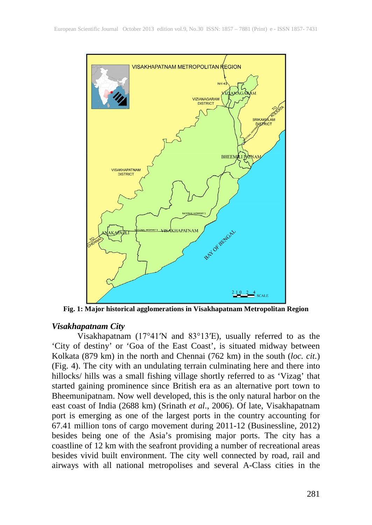

**Fig. 1: Major historical agglomerations in Visakhapatnam Metropolitan Region**

#### *Visakhapatnam City*

Visakhapatnam (17°41′N and 83°13′E), usually referred to as the 'City of destiny' or 'Goa of the East Coast', is situated midway between Kolkata (879 km) in the north and Chennai (762 km) in the south (*loc. cit.*) (Fig. 4). The city with an undulating terrain culminating here and there into hillocks/ hills was a small fishing village shortly referred to as 'Vizag' that started gaining prominence since British era as an alternative port town to Bheemunipatnam. Now well developed, this is the only natural harbor on the east coast of India (2688 km) (Srinath *et al*., 2006). Of late, Visakhapatnam port is emerging as one of the largest ports in the country accounting for 67.41 million tons of cargo movement during 2011-12 (Businessline, 2012) besides being one of the Asia's promising major ports. The city has a coastline of 12 km with the seafront providing a number of recreational areas besides vivid built environment. The city well connected by road, rail and airways with all national metropolises and several A-Class cities in the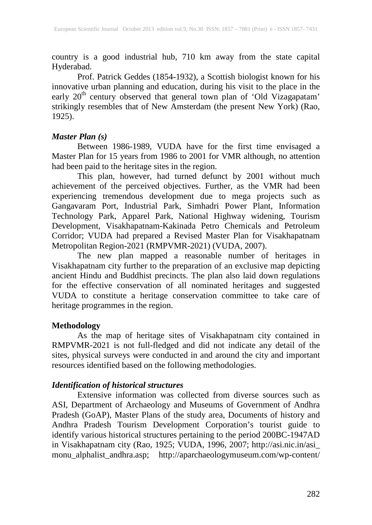country is a good industrial hub, 710 km away from the state capital Hyderabad.

Prof. Patrick Geddes (1854-1932), a Scottish biologist known for his innovative urban planning and education, during his visit to the place in the early 20<sup>th</sup> century observed that general town plan of 'Old Vizagapatam' strikingly resembles that of New Amsterdam (the present New York) (Rao, 1925).

### *Master Plan (s)*

Between 1986-1989, VUDA have for the first time envisaged a Master Plan for 15 years from 1986 to 2001 for VMR although, no attention had been paid to the heritage sites in the region.

This plan, however, had turned defunct by 2001 without much achievement of the perceived objectives. Further, as the VMR had been experiencing tremendous development due to mega projects such as Gangavaram Port, Industrial Park, Simhadri Power Plant, Information Technology Park, Apparel Park, National Highway widening, Tourism Development, Visakhapatnam-Kakinada Petro Chemicals and Petroleum Corridor; VUDA had prepared a Revised Master Plan for Visakhapatnam Metropolitan Region-2021 (RMPVMR-2021) (VUDA, 2007).

The new plan mapped a reasonable number of heritages in Visakhapatnam city further to the preparation of an exclusive map depicting ancient Hindu and Buddhist precincts. The plan also laid down regulations for the effective conservation of all nominated heritages and suggested VUDA to constitute a heritage conservation committee to take care of heritage programmes in the region.

## **Methodology**

As the map of heritage sites of Visakhapatnam city contained in RMPVMR-2021 is not full-fledged and did not indicate any detail of the sites, physical surveys were conducted in and around the city and important resources identified based on the following methodologies.

#### *Identification of historical structures*

Extensive information was collected from diverse sources such as ASI, Department of Archaeology and Museums of Government of Andhra Pradesh (GoAP), Master Plans of the study area, Documents of history and Andhra Pradesh Tourism Development Corporation's tourist guide to identify various historical structures pertaining to the period 200BC-1947AD in Visakhapatnam city (Rao, 1925; VUDA, 1996, 2007; http://asi.nic.in/asi\_ monu\_alphalist\_andhra.asp; http://aparchaeologymuseum.com/wp-content/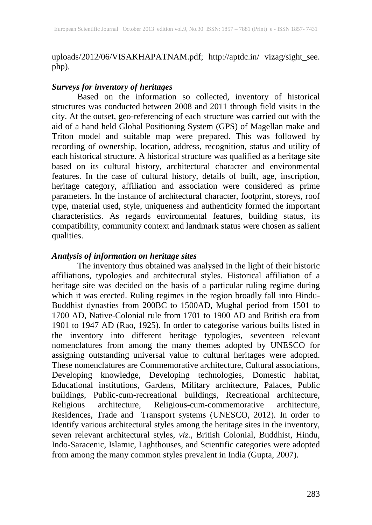uploads/2012/06/VISAKHAPATNAM.pdf; http://aptdc.in/ vizag/sight see. php).

## *Surveys for inventory of heritages*

Based on the information so collected, inventory of historical structures was conducted between 2008 and 2011 through field visits in the city. At the outset, geo-referencing of each structure was carried out with the aid of a hand held Global Positioning System (GPS) of Magellan make and Triton model and suitable map were prepared. This was followed by recording of ownership, location, address, recognition, status and utility of each historical structure. A historical structure was qualified as a heritage site based on its cultural history, architectural character and environmental features. In the case of cultural history, details of built, age, inscription, heritage category, affiliation and association were considered as prime parameters. In the instance of architectural character, footprint, storeys, roof type, material used, style, uniqueness and authenticity formed the important characteristics. As regards environmental features, building status, its compatibility, community context and landmark status were chosen as salient qualities.

#### *Analysis of information on heritage sites*

The inventory thus obtained was analysed in the light of their historic affiliations, typologies and architectural styles. Historical affiliation of a heritage site was decided on the basis of a particular ruling regime during which it was erected. Ruling regimes in the region broadly fall into Hindu-Buddhist dynasties from 200BC to 1500AD, Mughal period from 1501 to 1700 AD, Native-Colonial rule from 1701 to 1900 AD and British era from 1901 to 1947 AD (Rao, 1925). In order to categorise various builts listed in the inventory into different heritage typologies, seventeen relevant nomenclatures from among the many themes adopted by UNESCO for assigning outstanding universal value to cultural heritages were adopted. These nomenclatures are Commemorative architecture, Cultural associations, Developing knowledge, Developing technologies, Domestic habitat, Educational institutions, Gardens, Military architecture, Palaces, Public buildings, Public-cum-recreational buildings, Recreational architecture, Religious architecture, Religious-cum-commemorative architecture, Residences, Trade and Transport systems (UNESCO, 2012). In order to identify various architectural styles among the heritage sites in the inventory, seven relevant architectural styles, *viz.,* British Colonial, Buddhist, Hindu, Indo-Saracenic, Islamic, Lighthouses, and Scientific categories were adopted from among the many common styles prevalent in India (Gupta, 2007).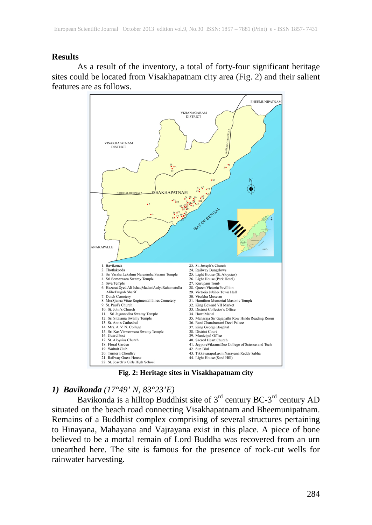#### **Results**

As a result of the inventory, a total of forty-four significant heritage sites could be located from Visakhapatnam city area (Fig. 2) and their salient features are as follows.



**Fig. 2: Heritage sites in Visakhapatnam city**

## *1) Bavikonda (17°49' N, 83°23'E)*

Bavikonda is a hilltop Buddhist site of 3<sup>rd</sup> century BC-3<sup>rd</sup> century AD situated on the beach road connecting Visakhapatnam and Bheemunipatnam. Remains of a Buddhist complex comprising of several structures pertaining to Hinayana, Mahayana and Vajrayana exist in this place. A piece of bone believed to be a mortal remain of Lord Buddha was recovered from an urn unearthed here. The site is famous for the presence of rock-cut wells for rainwater harvesting.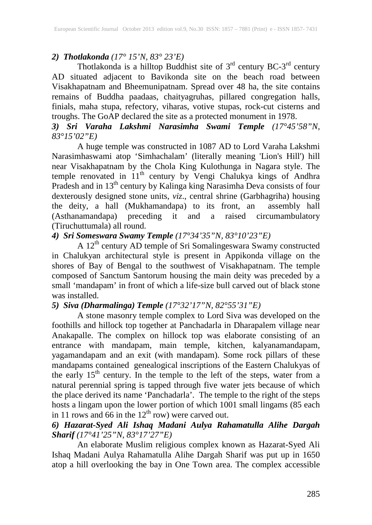## *2) Thotlakonda (17° 15'N, 83° 23'E)*

Thotlakonda is a hilltop Buddhist site of  $3<sup>rd</sup>$  century BC-3<sup>rd</sup> century AD situated adjacent to Bavikonda site on the beach road between Visakhapatnam and Bheemunipatnam. Spread over 48 ha, the site contains remains of Buddha paadaas, chaityagruhas, pillared congregation halls, finials, maha stupa, refectory, viharas, votive stupas, rock-cut cisterns and troughs. The GoAP declared the site as a protected monument in 1978.

## *3) Sri Varaha Lakshmi Narasimha Swami Temple (17°45'58"N, 83°15'02"E)*

A huge temple was constructed in 1087 AD to Lord Varaha Lakshmi Narasimhaswami atop 'Simhachalam' (literally meaning 'Lion's Hill') hill near Visakhapatnam by the Chola King Kulothunga in Nagara style. The temple renovated in 11<sup>th</sup> century by Vengi Chalukya kings of Andhra Pradesh and in 13<sup>th</sup> century by Kalinga king Narasimha Deva consists of four dexterously designed stone units, *viz*., central shrine (Garbhagriha) housing the deity, a hall (Mukhamandapa) to its front, an assembly hall (Asthanamandapa) preceding it and a raised circumambulatory (Tiruchuttumala) all round.

### *4) Sri Someswara Swamy Temple (17°34'35"N, 83°10'23"E)*

A 12<sup>th</sup> century AD temple of Sri Somalingeswara Swamy constructed in Chalukyan architectural style is present in Appikonda village on the shores of Bay of Bengal to the southwest of Visakhapatnam. The temple composed of Sanctum Santorum housing the main deity was preceded by a small 'mandapam' in front of which a life-size bull carved out of black stone was installed.

### *5) Siva (Dharmalinga) Temple (17°32'17"N, 82°55'31"E)*

A stone masonry temple complex to Lord Siva was developed on the foothills and hillock top together at Panchadarla in Dharapalem village near Anakapalle. The complex on hillock top was elaborate consisting of an entrance with mandapam, main temple, kitchen, kalyanamandapam, yagamandapam and an exit (with mandapam). Some rock pillars of these mandapams contained genealogical inscriptions of the Eastern Chalukyas of the early 15<sup>th</sup> century. In the temple to the left of the steps, water from a natural perennial spring is tapped through five water jets because of which the place derived its name 'Panchadarla'. The temple to the right of the steps hosts a lingam upon the lower portion of which 1001 small lingams (85 each in 11 rows and 66 in the  $12<sup>th</sup>$  row) were carved out.

#### *6) Hazarat-Syed Ali Ishaq Madani Aulya Rahamatulla Alihe Dargah Sharif (17°41'25"N, 83°17'27"E)*

An elaborate Muslim religious complex known as Hazarat-Syed Ali Ishaq Madani Aulya Rahamatulla Alihe Dargah Sharif was put up in 1650 atop a hill overlooking the bay in One Town area. The complex accessible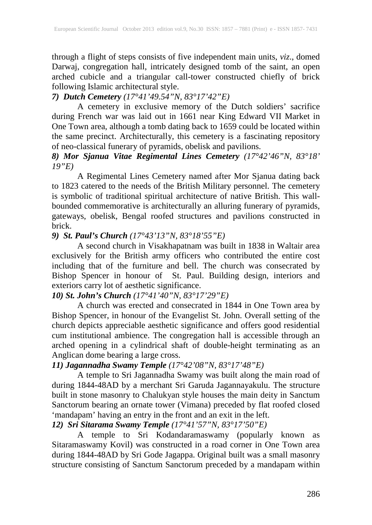through a flight of steps consists of five independent main units, *viz*., domed Darwaj, congregation hall, intricately designed tomb of the saint, an open arched cubicle and a triangular call-tower constructed chiefly of brick following Islamic architectural style.

## *7) Dutch Cemetery (17°41'49.54"N, 83°17'42"E)*

A cemetery in exclusive memory of the Dutch soldiers' sacrifice during French war was laid out in 1661 near King Edward VII Market in One Town area, although a tomb dating back to 1659 could be located within the same precinct. Architecturally, this cemetery is a fascinating repository of neo-classical funerary of pyramids, obelisk and pavilions.

#### *8) Mor Sjanua Vitae Regimental Lines Cemetery (17°42'46"N, 83°18' 19"E)*

A Regimental Lines Cemetery named after Mor Sjanua dating back to 1823 catered to the needs of the British Military personnel. The cemetery is symbolic of traditional spiritual architecture of native British. This wallbounded commemorative is architecturally an alluring funerary of pyramids, gateways, obelisk, Bengal roofed structures and pavilions constructed in brick.

## *9) St. Paul's Church (17°43'13"N, 83°18'55"E)*

A second church in Visakhapatnam was built in 1838 in Waltair area exclusively for the British army officers who contributed the entire cost including that of the furniture and bell. The church was consecrated by Bishop Spencer in honour of St. Paul. Building design, interiors and exteriors carry lot of aesthetic significance.

### *10) St. John's Church (17°41'40"N, 83°17'29"E)*

A church was erected and consecrated in 1844 in One Town area by Bishop Spencer, in honour of the Evangelist St. John. Overall setting of the church depicts appreciable aesthetic significance and offers good residential cum institutional ambience. The congregation hall is accessible through an arched opening in a cylindrical shaft of double-height terminating as an Anglican dome bearing a large cross.

## *11) Jagannadha Swamy Temple (17°42'08"N, 83°17'48"E)*

A temple to Sri Jagannadha Swamy was built along the main road of during 1844-48AD by a merchant Sri Garuda Jagannayakulu. The structure built in stone masonry to Chalukyan style houses the main deity in Sanctum Sanctorum bearing an ornate tower (Vimana) preceded by flat roofed closed 'mandapam' having an entry in the front and an exit in the left.

#### *12) Sri Sitarama Swamy Temple (17°41'57"N, 83°17'50"E)*

A temple to Sri Kodandaramaswamy (popularly known as Sitaramaswamy Kovil) was constructed in a road corner in One Town area during 1844-48AD by Sri Gode Jagappa. Original built was a small masonry structure consisting of Sanctum Sanctorum preceded by a mandapam within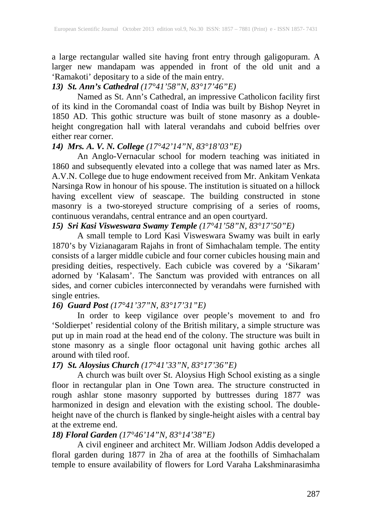a large rectangular walled site having front entry through galigopuram. A larger new mandapam was appended in front of the old unit and a 'Ramakoti' depositary to a side of the main entry.

## *13) St. Ann's Cathedral (17°41'58"N, 83°17'46"E)*

Named as St. Ann's Cathedral, an impressive Catholicon facility first of its kind in the Coromandal coast of India was built by Bishop Neyret in 1850 AD. This gothic structure was built of stone masonry as a doubleheight congregation hall with lateral verandahs and cuboid belfries over either rear corner.

## *14) Mrs. A. V. N. College (17°42'14"N, 83°18'03"E)*

An Anglo-Vernacular school for modern teaching was initiated in 1860 and subsequently elevated into a college that was named later as Mrs. A.V.N. College due to huge endowment received from Mr. Ankitam Venkata Narsinga Row in honour of his spouse. The institution is situated on a hillock having excellent view of seascape. The building constructed in stone masonry is a two-storeyed structure comprising of a series of rooms, continuous verandahs, central entrance and an open courtyard.

### *15) Sri Kasi Visweswara Swamy Temple (17°41'58"N, 83°17'50"E)*

A small temple to Lord Kasi Visweswara Swamy was built in early 1870's by Vizianagaram Rajahs in front of Simhachalam temple. The entity consists of a larger middle cubicle and four corner cubicles housing main and presiding deities, respectively. Each cubicle was covered by a 'Sikaram' adorned by 'Kalasam'. The Sanctum was provided with entrances on all sides, and corner cubicles interconnected by verandahs were furnished with single entries.

## *16) Guard Post (17°41'37"N, 83°17'31"E)*

In order to keep vigilance over people's movement to and fro 'Soldierpet' residential colony of the British military, a simple structure was put up in main road at the head end of the colony. The structure was built in stone masonry as a single floor octagonal unit having gothic arches all around with tiled roof.

# *17) St. Aloysius Church (17°41'33"N, 83°17'36"E)*

A church was built over St. Aloysius High School existing as a single floor in rectangular plan in One Town area. The structure constructed in rough ashlar stone masonry supported by buttresses during 1877 was harmonized in design and elevation with the existing school. The doubleheight nave of the church is flanked by single-height aisles with a central bay at the extreme end.

## *18) Floral Garden (17°46'14"N, 83°14'38"E)*

A civil engineer and architect Mr. William Jodson Addis developed a floral garden during 1877 in 2ha of area at the foothills of Simhachalam temple to ensure availability of flowers for Lord Varaha Lakshminarasimha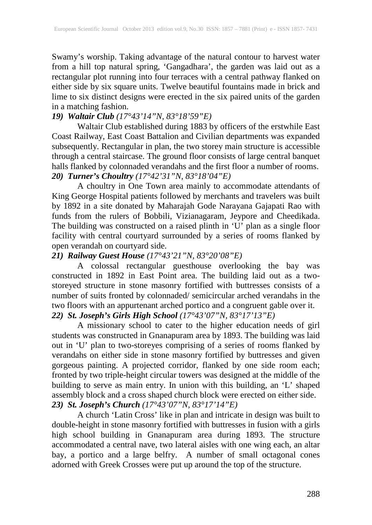Swamy's worship. Taking advantage of the natural contour to harvest water from a hill top natural spring, 'Gangadhara', the garden was laid out as a rectangular plot running into four terraces with a central pathway flanked on either side by six square units. Twelve beautiful fountains made in brick and lime to six distinct designs were erected in the six paired units of the garden in a matching fashion.

## *19) Waltair Club (17°43'14"N, 83°18'59"E)*

Waltair Club established during 1883 by officers of the erstwhile East Coast Railway, East Coast Battalion and Civilian departments was expanded subsequently. Rectangular in plan, the two storey main structure is accessible through a central staircase. The ground floor consists of large central banquet halls flanked by colonnaded verandahs and the first floor a number of rooms. *20) Turner's Choultry (17°42'31"N, 83°18'04"E)*

A choultry in One Town area mainly to accommodate attendants of King George Hospital patients followed by merchants and travelers was built by 1892 in a site donated by Maharajah Gode Narayana Gajapati Rao with funds from the rulers of Bobbili, Vizianagaram, Jeypore and Cheedikada. The building was constructed on a raised plinth in 'U' plan as a single floor facility with central courtyard surrounded by a series of rooms flanked by open verandah on courtyard side.

#### *21) Railway Guest House (17°43'21"N, 83°20'08"E)*

A colossal rectangular guesthouse overlooking the bay was constructed in 1892 in East Point area. The building laid out as a twostoreyed structure in stone masonry fortified with buttresses consists of a number of suits fronted by colonnaded/ semicircular arched verandahs in the two floors with an appurtenant arched portico and a congruent gable over it. *22) St. Joseph's Girls High School (17°43'07"N, 83°17'13"E)*

A missionary school to cater to the higher education needs of girl students was constructed in Gnanapuram area by 1893. The building was laid out in 'U' plan to two-storeyes comprising of a series of rooms flanked by verandahs on either side in stone masonry fortified by buttresses and given gorgeous painting. A projected corridor, flanked by one side room each; fronted by two triple-height circular towers was designed at the middle of the building to serve as main entry. In union with this building, an 'L' shaped assembly block and a cross shaped church block were erected on either side. *23) St. Joseph's Church (17°43'07"N, 83°17'14"E)*

A church 'Latin Cross' like in plan and intricate in design was built to double-height in stone masonry fortified with buttresses in fusion with a girls high school building in Gnanapuram area during 1893. The structure accommodated a central nave, two lateral aisles with one wing each, an altar bay, a portico and a large belfry. A number of small octagonal cones adorned with Greek Crosses were put up around the top of the structure.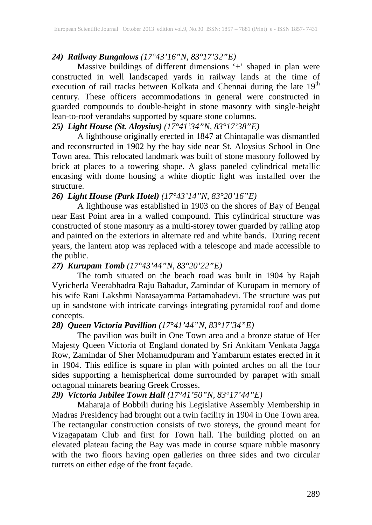## *24) Railway Bungalows (17°43'16"N, 83°17'32"E)*

Massive buildings of different dimensions '+' shaped in plan were constructed in well landscaped yards in railway lands at the time of execution of rail tracks between Kolkata and Chennai during the late 19<sup>th</sup> century. These officers accommodations in general were constructed in guarded compounds to double-height in stone masonry with single-height lean-to-roof verandahs supported by square stone columns.

## *25) Light House (St. Aloysius) (17°41'34"N, 83°17'38"E)*

A lighthouse originally erected in 1847 at Chintapalle was dismantled and reconstructed in 1902 by the bay side near St. Aloysius School in One Town area. This relocated landmark was built of stone masonry followed by brick at places to a towering shape. A glass paneled cylindrical metallic encasing with dome housing a white dioptic light was installed over the structure.

## *26) Light House (Park Hotel) (17°43'14"N, 83°20'16"E)*

A lighthouse was established in 1903 on the shores of Bay of Bengal near East Point area in a walled compound. This cylindrical structure was constructed of stone masonry as a multi-storey tower guarded by railing atop and painted on the exteriors in alternate red and white bands. During recent years, the lantern atop was replaced with a telescope and made accessible to the public.

## *27) Kurupam Tomb (17°43'44"N, 83°20'22"E)*

The tomb situated on the beach road was built in 1904 by Rajah Vyricherla Veerabhadra Raju Bahadur, Zamindar of Kurupam in memory of his wife Rani Lakshmi Narasayamma Pattamahadevi. The structure was put up in sandstone with intricate carvings integrating pyramidal roof and dome concepts.

#### *28) Queen Victoria Pavillion (17°41'44"N, 83°17'34"E)*

The pavilion was built in One Town area and a bronze statue of Her Majesty Queen Victoria of England donated by Sri Ankitam Venkata Jagga Row, Zamindar of Sher Mohamudpuram and Yambarum estates erected in it in 1904. This edifice is square in plan with pointed arches on all the four sides supporting a hemispherical dome surrounded by parapet with small octagonal minarets bearing Greek Crosses.

## *29) Victoria Jubilee Town Hall (17°41'50"N, 83°17'44"E)*

Maharaja of Bobbili during his Legislative Assembly Membership in Madras Presidency had brought out a twin facility in 1904 in One Town area. The rectangular construction consists of two storeys, the ground meant for Vizagapatam Club and first for Town hall. The building plotted on an elevated plateau facing the Bay was made in course square rubble masonry with the two floors having open galleries on three sides and two circular turrets on either edge of the front façade.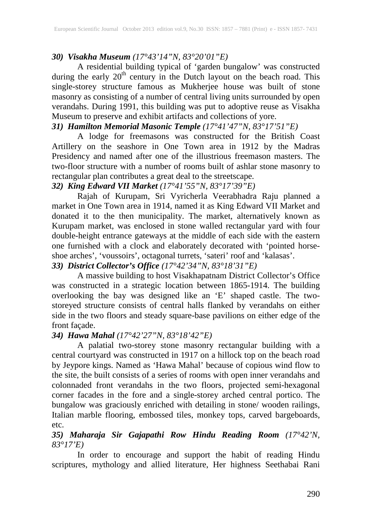### *30) Visakha Museum (17°43'14"N, 83°20'01"E)*

A residential building typical of 'garden bungalow' was constructed during the early  $20<sup>th</sup>$  century in the Dutch layout on the beach road. This single-storey structure famous as Mukherjee house was built of stone masonry as consisting of a number of central living units surrounded by open verandahs. During 1991, this building was put to adoptive reuse as Visakha Museum to preserve and exhibit artifacts and collections of yore.

## *31) Hamilton Memorial Masonic Temple (17°41'47"N, 83°17'51"E)*

A lodge for freemasons was constructed for the British Coast Artillery on the seashore in One Town area in 1912 by the Madras Presidency and named after one of the illustrious freemason masters. The two-floor structure with a number of rooms built of ashlar stone masonry to rectangular plan contributes a great deal to the streetscape.

## *32) King Edward VII Market (17°41'55"N, 83°17'39"E)*

Rajah of Kurupam, Sri Vyricherla Veerabhadra Raju planned a market in One Town area in 1914, named it as King Edward VII Market and donated it to the then municipality. The market, alternatively known as Kurupam market, was enclosed in stone walled rectangular yard with four double-height entrance gateways at the middle of each side with the eastern one furnished with a clock and elaborately decorated with 'pointed horseshoe arches', 'voussoirs', octagonal turrets, 'sateri' roof and 'kalasas'.

#### *33) District Collector's Office (17°42'34"N, 83°18'31"E)*

A massive building to host Visakhapatnam District Collector's Office was constructed in a strategic location between 1865-1914. The building overlooking the bay was designed like an 'E' shaped castle. The twostoreyed structure consists of central halls flanked by verandahs on either side in the two floors and steady square-base pavilions on either edge of the front façade.

## *34) Hawa Mahal (17°42'27"N, 83°18'42"E)*

A palatial two-storey stone masonry rectangular building with a central courtyard was constructed in 1917 on a hillock top on the beach road by Jeypore kings. Named as 'Hawa Mahal' because of copious wind flow to the site, the built consists of a series of rooms with open inner verandahs and colonnaded front verandahs in the two floors, projected semi-hexagonal corner facades in the fore and a single-storey arched central portico. The bungalow was graciously enriched with detailing in stone/ wooden railings, Italian marble flooring, embossed tiles, monkey tops, carved bargeboards, etc.

#### *35) Maharaja Sir Gajapathi Row Hindu Reading Room (17°42'N, 83°17'E)*

In order to encourage and support the habit of reading Hindu scriptures, mythology and allied literature, Her highness Seethabai Rani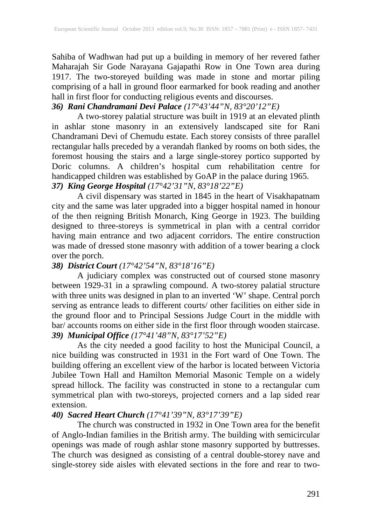Sahiba of Wadhwan had put up a building in memory of her revered father Maharajah Sir Gode Narayana Gajapathi Row in One Town area during 1917. The two-storeyed building was made in stone and mortar piling comprising of a hall in ground floor earmarked for book reading and another hall in first floor for conducting religious events and discourses.

## *36) Rani Chandramani Devi Palace (17°43'44"N, 83°20'12"E)*

A two-storey palatial structure was built in 1919 at an elevated plinth in ashlar stone masonry in an extensively landscaped site for Rani Chandramani Devi of Chemudu estate. Each storey consists of three parallel rectangular halls preceded by a verandah flanked by rooms on both sides, the foremost housing the stairs and a large single-storey portico supported by Doric columns. A children's hospital cum rehabilitation centre for handicapped children was established by GoAP in the palace during 1965.

### *37) King George Hospital (17°42'31"N, 83°18'22"E)*

A civil dispensary was started in 1845 in the heart of Visakhapatnam city and the same was later upgraded into a bigger hospital named in honour of the then reigning British Monarch, King George in 1923. The building designed to three-storeys is symmetrical in plan with a central corridor having main entrance and two adjacent corridors. The entire construction was made of dressed stone masonry with addition of a tower bearing a clock over the porch.

## *38) District Court (17°42'54"N, 83°18'16"E)*

A judiciary complex was constructed out of coursed stone masonry between 1929-31 in a sprawling compound. A two-storey palatial structure with three units was designed in plan to an inverted 'W' shape. Central porch serving as entrance leads to different courts/ other facilities on either side in the ground floor and to Principal Sessions Judge Court in the middle with bar/accounts rooms on either side in the first floor through wooden staircase. *39) Municipal Office (17°41'48"N, 83°17'52"E)*

As the city needed a good facility to host the Municipal Council, a nice building was constructed in 1931 in the Fort ward of One Town. The building offering an excellent view of the harbor is located between Victoria Jubilee Town Hall and Hamilton Memorial Masonic Temple on a widely spread hillock. The facility was constructed in stone to a rectangular cum symmetrical plan with two-storeys, projected corners and a lap sided rear extension.

#### *40) Sacred Heart Church (17°41'39"N, 83°17'39"E)*

The church was constructed in 1932 in One Town area for the benefit of Anglo-Indian families in the British army. The building with semicircular openings was made of rough ashlar stone masonry supported by buttresses. The church was designed as consisting of a central double-storey nave and single-storey side aisles with elevated sections in the fore and rear to two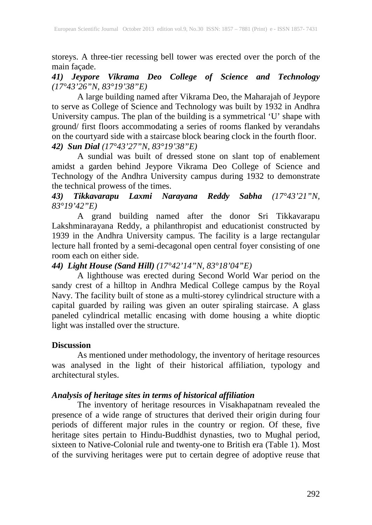storeys. A three-tier recessing bell tower was erected over the porch of the main façade.

## *41) Jeypore Vikrama Deo College of Science and Technology (17°43'26"N, 83°19'38"E)*

A large building named after Vikrama Deo, the Maharajah of Jeypore to serve as College of Science and Technology was built by 1932 in Andhra University campus. The plan of the building is a symmetrical 'U' shape with ground/ first floors accommodating a series of rooms flanked by verandahs on the courtyard side with a staircase block bearing clock in the fourth floor. *42) Sun Dial (17°43'27"N, 83°19'38"E)*

A sundial was built of dressed stone on slant top of enablement amidst a garden behind Jeypore Vikrama Deo College of Science and Technology of the Andhra University campus during 1932 to demonstrate the technical prowess of the times.

## *43) Tikkavarapu Laxmi Narayana Reddy Sabha (17°43'21"N, 83°19'42"E)*

A grand building named after the donor Sri Tikkavarapu Lakshminarayana Reddy, a philanthropist and educationist constructed by 1939 in the Andhra University campus. The facility is a large rectangular lecture hall fronted by a semi-decagonal open central foyer consisting of one room each on either side.

# *44) Light House (Sand Hill) (17°42'14"N, 83°18'04"E)*

A lighthouse was erected during Second World War period on the sandy crest of a hilltop in Andhra Medical College campus by the Royal Navy. The facility built of stone as a multi-storey cylindrical structure with a capital guarded by railing was given an outer spiraling staircase. A glass paneled cylindrical metallic encasing with dome housing a white dioptic light was installed over the structure.

#### **Discussion**

As mentioned under methodology, the inventory of heritage resources was analysed in the light of their historical affiliation, typology and architectural styles.

## *Analysis of heritage sites in terms of historical affiliation*

The inventory of heritage resources in Visakhapatnam revealed the presence of a wide range of structures that derived their origin during four periods of different major rules in the country or region. Of these, five heritage sites pertain to Hindu-Buddhist dynasties, two to Mughal period, sixteen to Native-Colonial rule and twenty-one to British era (Table 1). Most of the surviving heritages were put to certain degree of adoptive reuse that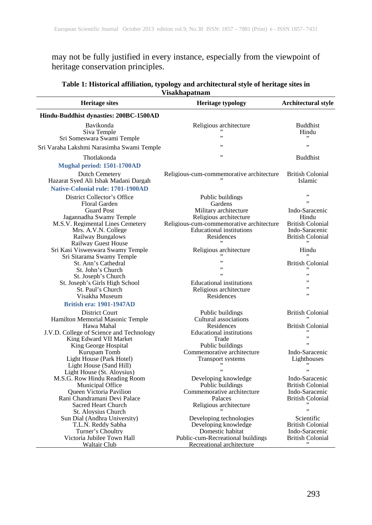may not be fully justified in every instance, especially from the viewpoint of heritage conservation principles.

| Table 1: Historical affiliation, typology and architectural style of heritage sites in |  |  |
|----------------------------------------------------------------------------------------|--|--|
| <b>Visakhapatnam</b>                                                                   |  |  |

| <b>Heritage sites</b>                                                                                                                                                        | <b>Heritage typology</b>                                                                                                                                                    | Architectural style                                                                                         |
|------------------------------------------------------------------------------------------------------------------------------------------------------------------------------|-----------------------------------------------------------------------------------------------------------------------------------------------------------------------------|-------------------------------------------------------------------------------------------------------------|
| Hindu-Buddhist dynasties: 200BC-1500AD                                                                                                                                       |                                                                                                                                                                             |                                                                                                             |
| Bavikonda<br>Siva Temple<br>Sri Someswara Swami Temple                                                                                                                       | Religious architecture<br>,,                                                                                                                                                | <b>Buddhist</b><br>Hindu                                                                                    |
| Sri Varaha Lakshmi Narasimha Swami Temple                                                                                                                                    | ٠,                                                                                                                                                                          | ٠,                                                                                                          |
| Thotlakonda                                                                                                                                                                  | ,,                                                                                                                                                                          | <b>Buddhist</b>                                                                                             |
| Mughal period: 1501-1700AD                                                                                                                                                   |                                                                                                                                                                             |                                                                                                             |
| <b>Dutch Cemetery</b><br>Hazarat Syed Ali Ishak Madani Dargah<br><b>Native-Colonial rule: 1701-1900AD</b>                                                                    | Religious-cum-commemorative architecture                                                                                                                                    | <b>British Colonial</b><br>Islamic                                                                          |
| District Collector's Office<br>Floral Garden<br><b>Guard Post</b><br>Jagannadha Swamy Temple<br>M.S.V. Regimental Lines Cemetery<br>Mrs. A.V.N. College<br>Railway Bungalows | Public buildings<br>Gardens<br>Military architecture<br>Religious architecture<br>Religious-cum-commemorative architecture<br><b>Educational institutions</b><br>Residences | ,,<br>,,<br>Indo-Saracenic<br>Hindu<br><b>British Colonial</b><br>Indo-Saracenic<br><b>British Colonial</b> |
| <b>Railway Guest House</b><br>Sri Kasi Visweswara Swamy Temple                                                                                                               | Religious architecture                                                                                                                                                      | Hindu                                                                                                       |
| Sri Sitarama Swamy Temple<br>St. Ann's Cathedral<br>St. John's Church<br>St. Joseph's Church                                                                                 | ,,<br>,,                                                                                                                                                                    | <b>British Colonial</b><br>,,                                                                               |
| St. Joseph's Girls High School<br>St. Paul's Church<br>Visakha Museum<br><b>British era: 1901-1947AD</b>                                                                     | <b>Educational institutions</b><br>Religious architecture<br>Residences                                                                                                     | ,,<br>,,<br>,,                                                                                              |
| District Court<br>Hamilton Memorial Masonic Temple<br>Hawa Mahal<br>J.V.D. College of Science and Technology<br>King Edward VII Market<br>King George Hospital               | Public buildings<br>Cultural associations<br>Residences<br><b>Educational</b> institutions<br>Trade<br>Public buildings                                                     | <b>British Colonial</b><br><b>British Colonial</b><br>,,<br>, ,                                             |
| Kurupam Tomb<br>Light House (Park Hotel)<br>Light House (Sand Hill)<br>Light House (St. Aloysius)                                                                            | Commemorative architecture<br>Transport systems                                                                                                                             | Indo-Saracenic<br>Lighthouses<br>٠,                                                                         |
| M.S.G. Row Hindu Reading Room<br>Municipal Office<br>Queen Victoria Pavilion<br>Rani Chandramani Devi Palace<br>Sacred Heart Church                                          | Developing knowledge<br>Public buildings<br>Commemorative architecture<br>Palaces<br>Religious architecture                                                                 | Indo-Saracenic<br><b>British Colonial</b><br>Indo-Saracenic<br><b>British Colonial</b><br>,,                |
| St. Aloysius Church<br>Sun Dial (Andhra University)<br>T.L.N. Reddy Sabha<br>Turner's Choultry<br>Victoria Jubilee Town Hall<br>Waltair Club                                 | Developing technologies<br>Developing knowledge<br>Domestic habitat<br>Public-cum-Recreational buildings<br>Recreational architecture                                       | Scientific<br><b>British Colonial</b><br>Indo-Saracenic<br><b>British Colonial</b>                          |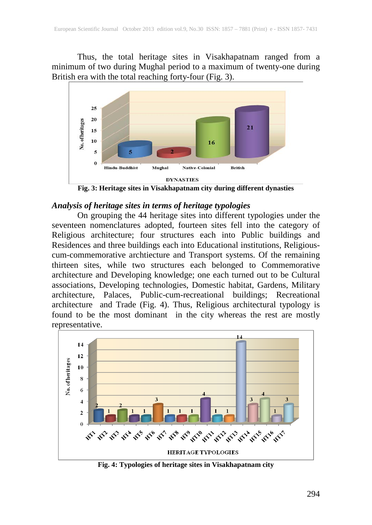Thus, the total heritage sites in Visakhapatnam ranged from a minimum of two during Mughal period to a maximum of twenty-one during British era with the total reaching forty-four (Fig. 3).



**Fig. 3: Heritage sites in Visakhapatnam city during different dynasties**

#### *Analysis of heritage sites in terms of heritage typologies*

On grouping the 44 heritage sites into different typologies under the seventeen nomenclatures adopted, fourteen sites fell into the category of Religious architecture; four structures each into Public buildings and Residences and three buildings each into Educational institutions, Religiouscum-commemorative archtiecture and Transport systems. Of the remaining thirteen sites, while two structures each belonged to Commemorative architecture and Developing knowledge; one each turned out to be Cultural associations, Developing technologies, Domestic habitat, Gardens, Military architecture, Palaces, Public-cum-recreational buildings; Recreational architecture and Trade (Fig. 4). Thus, Religious architectural typology is found to be the most dominant in the city whereas the rest are mostly representative.



**Fig. 4: Typologies of heritage sites in Visakhapatnam city**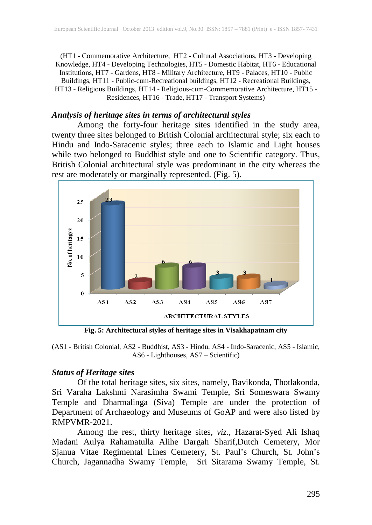(HT1 - Commemorative Architecture, HT2 - Cultural Associations, HT3 - Developing Knowledge, HT4 - Developing Technologies, HT5 - Domestic Habitat, HT6 - Educational Institutions, HT7 - Gardens, HT8 - Military Architecture, HT9 - Palaces, HT10 - Public Buildings, HT11 - Public-cum-Recreational buildings, HT12 - Recreational Buildings, HT13 - Religious Buildings, HT14 - Religious-cum-Commemorative Architecture, HT15 - Residences, HT16 - Trade, HT17 - Transport Systems)

## *Analysis of heritage sites in terms of architectural styles*

Among the forty-four heritage sites identified in the study area, twenty three sites belonged to British Colonial architectural style; six each to Hindu and Indo-Saracenic styles; three each to Islamic and Light houses while two belonged to Buddhist style and one to Scientific category. Thus, British Colonial architectural style was predominant in the city whereas the rest are moderately or marginally represented. (Fig. 5).



**Fig. 5: Architectural styles of heritage sites in Visakhapatnam city**

(AS1 - British Colonial, AS2 - Buddhist, AS3 - Hindu, AS4 - Indo-Saracenic, AS5 - Islamic, AS6 - Lighthouses, AS7 – Scientific)

#### *Status of Heritage sites*

Of the total heritage sites, six sites, namely, Bavikonda, Thotlakonda, Sri Varaha Lakshmi Narasimha Swami Temple, Sri Someswara Swamy Temple and Dharmalinga (Siva) Temple are under the protection of Department of Archaeology and Museums of GoAP and were also listed by RMPVMR-2021.

Among the rest, thirty heritage sites, *viz*., Hazarat-Syed Ali Ishaq Madani Aulya Rahamatulla Alihe Dargah Sharif,Dutch Cemetery, Mor Sjanua Vitae Regimental Lines Cemetery, St. Paul's Church, St. John's Church, Jagannadha Swamy Temple, Sri Sitarama Swamy Temple, St.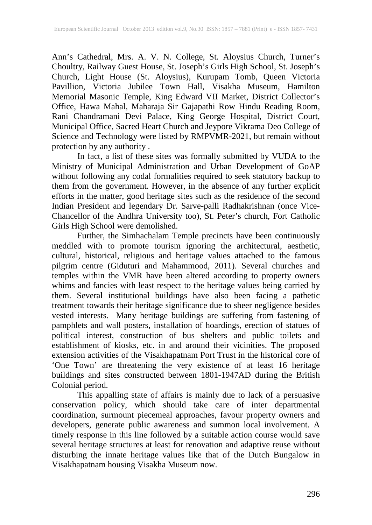Ann's Cathedral, Mrs. A. V. N. College, St. Aloysius Church, Turner's Choultry, Railway Guest House, St. Joseph's Girls High School, St. Joseph's Church, Light House (St. Aloysius), Kurupam Tomb, Queen Victoria Pavillion, Victoria Jubilee Town Hall, Visakha Museum, Hamilton Memorial Masonic Temple, King Edward VII Market, District Collector's Office, Hawa Mahal, Maharaja Sir Gajapathi Row Hindu Reading Room, Rani Chandramani Devi Palace, King George Hospital, District Court, Municipal Office, Sacred Heart Church and Jeypore Vikrama Deo College of Science and Technology were listed by RMPVMR-2021, but remain without protection by any authority .

In fact, a list of these sites was formally submitted by VUDA to the Ministry of Municipal Administration and Urban Development of GoAP without following any codal formalities required to seek statutory backup to them from the government. However, in the absence of any further explicit efforts in the matter, good heritage sites such as the residence of the second Indian President and legendary Dr. Sarve-palli Radhakrishnan (once Vice-Chancellor of the Andhra University too), St. Peter's church, Fort Catholic Girls High School were demolished.

Further, the Simhachalam Temple precincts have been continuously meddled with to promote tourism ignoring the architectural, aesthetic, cultural, historical, religious and heritage values attached to the famous pilgrim centre (Giduturi and Mahammood, 2011). Several churches and temples within the VMR have been altered according to property owners whims and fancies with least respect to the heritage values being carried by them. Several institutional buildings have also been facing a pathetic treatment towards their heritage significance due to sheer negligence besides vested interests. Many heritage buildings are suffering from fastening of pamphlets and wall posters, installation of hoardings, erection of statues of political interest, construction of bus shelters and public toilets and establishment of kiosks, etc. in and around their vicinities. The proposed extension activities of the Visakhapatnam Port Trust in the historical core of 'One Town' are threatening the very existence of at least 16 heritage buildings and sites constructed between 1801-1947AD during the British Colonial period.

This appalling state of affairs is mainly due to lack of a persuasive conservation policy, which should take care of inter departmental coordination, surmount piecemeal approaches, favour property owners and developers, generate public awareness and summon local involvement. A timely response in this line followed by a suitable action course would save several heritage structures at least for renovation and adaptive reuse without disturbing the innate heritage values like that of the Dutch Bungalow in Visakhapatnam housing Visakha Museum now.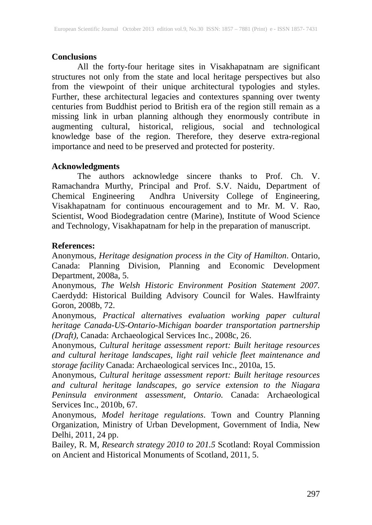#### **Conclusions**

All the forty-four heritage sites in Visakhapatnam are significant structures not only from the state and local heritage perspectives but also from the viewpoint of their unique architectural typologies and styles. Further, these architectural legacies and contextures spanning over twenty centuries from Buddhist period to British era of the region still remain as a missing link in urban planning although they enormously contribute in augmenting cultural, historical, religious, social and technological knowledge base of the region. Therefore, they deserve extra-regional importance and need to be preserved and protected for posterity.

#### **Acknowledgments**

The authors acknowledge sincere thanks to Prof. Ch. V. Ramachandra Murthy, Principal and Prof. S.V. Naidu, Department of Chemical Engineering Andhra University College of Engineering, Visakhapatnam for continuous encouragement and to Mr. M. V. Rao, Scientist, Wood Biodegradation centre (Marine), Institute of Wood Science and Technology, Visakhapatnam for help in the preparation of manuscript.

#### **References:**

Anonymous, *Heritage designation process in the City of Hamilton*. Ontario, Canada: Planning Division, Planning and Economic Development Department, 2008a, 5.

Anonymous, *The Welsh Historic Environment Position Statement 2007.*  Caerdydd: Historical Building Advisory Council for Wales. Hawlfrainty Goron, 2008b, 72.

Anonymous, *Practical alternatives evaluation working paper cultural heritage Canada-US-Ontario-Michigan boarder transportation partnership (Draft),* Canada: Archaeological Services Inc., 2008c, 26.

Anonymous, *Cultural heritage assessment report: Built heritage resources and cultural heritage landscapes, light rail vehicle fleet maintenance and storage facility* Canada: Archaeological services Inc., 2010a, 15.

Anonymous, *Cultural heritage assessment report: Built heritage resources and cultural heritage landscapes, go service extension to the Niagara Peninsula environment assessment, Ontario.* Canada: Archaeological Services Inc., 2010b, 67.

Anonymous, *Model heritage regulations*. Town and Country Planning Organization, Ministry of Urban Development, Government of India, New Delhi, 2011, 24 pp.

Bailey, R. M, *Research strategy 2010 to 201.5* Scotland: Royal Commission on Ancient and Historical Monuments of Scotland, 2011, 5.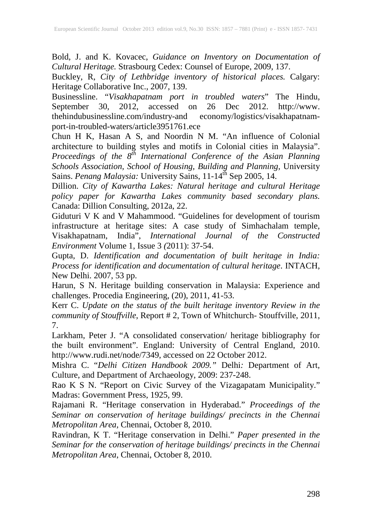Bold, J. and K. Kovacec, *Guidance on Inventory on Documentation of Cultural Heritage.* Strasbourg Cedex: Counsel of Europe, 2009, 137.

Buckley, R, *City of Lethbridge inventory of historical places.* Calgary: Heritage Collaborative Inc., 2007, 139.

Businessline. "*Visakhapatnam port in troubled waters*" The Hindu, September 30, 2012, accessed on 26 Dec 2012. thehindubusinessline.com/industry-and economy/logistics/visakhapatnamport-in-troubled-waters/article3951761.ece

Chun H K, Hasan A S, and Noordin N M. "An influence of Colonial architecture to building styles and motifs in Colonial cities in Malaysia". *Proceedings of the*  $8^{th}$  *International Conference of the Asian Planning Schools Association, School of Housing, Building and Planning,* University Sains. *Penang Malaysia:* University Sains, 11-14th Sep 2005, 14.

Dillion. *City of Kawartha Lakes: Natural heritage and cultural Heritage policy paper for Kawartha Lakes community based secondary plans.* Canada: Dillion Consulting, 2012a, 22.

Giduturi V K and V Mahammood. "Guidelines for development of tourism infrastructure at heritage sites: A case study of Simhachalam temple, Visakhapatnam, India", *International Journal of the Constructed Environment* Volume 1, Issue 3 *(*2011): 37-54.

Gupta, D. *Identification and documentation of built heritage in India: Process for identification and documentation of cultural heritage*. INTACH, New Delhi. 2007, 53 pp.

Harun, S N. Heritage building conservation in Malaysia: Experience and challenges. Procedia Engineering, (20), 2011, 41-53.

Kerr C. *Update on the status of the built heritage inventory Review in the community of Stouffville*, Report # 2, Town of Whitchurch- Stouffville, 2011, 7.

Larkham, Peter J. "A consolidated conservation/ heritage bibliography for the built environment". England: University of Central England, 2010. http://www.rudi.net/node/7349, accessed on 22 October 2012.

Mishra C. "*Delhi Citizen Handbook 2009."* Delhi*:* Department of Art, Culture, and Department of Archaeology, 2009: 237-248.

Rao K S N. "Report on Civic Survey of the Vizagapatam Municipality." Madras: Government Press, 1925, 99.

Rajamani R. "Heritage conservation in Hyderabad." *Proceedings of the Seminar on conservation of heritage buildings/ precincts in the Chennai Metropolitan Area,* Chennai, October 8, 2010.

Ravindran, K T. "Heritage conservation in Delhi." *Paper presented in the Seminar for the conservation of heritage buildings/ precincts in the Chennai Metropolitan Area*, Chennai, October 8, 2010.